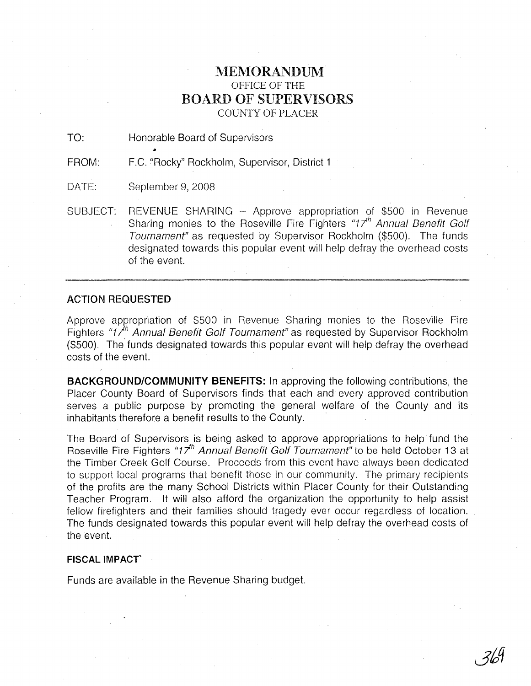## **MEMORANDUM** OFFICE OF THE BOARD OF SUPERVISORS COUNTY OF PLACER

TO: Honorable Board of Supervisors

'" FROM: F.C. "Rocky" Rockholm, Supervisor, District 1

DATE: September 9, 2008

SUBJECT: REVENUE SHARING - Approve appropriation of \$500 in Revenue Sharing monies to the Roseville Fire Fighters "17<sup>th</sup> Annual Benefit Golf Tournament" as requested by Supervisor Rockholm (\$500). The funds designated towards this popular event will help defray the overhead costs of the event.

## ACTION REQUESTED

Approve appropriation of \$500 in Revenue Sharing monies to the Roseville Fire Fighters "17<sup>h</sup> Annual Benefit Golf Tournament" as requested by Supervisor Rockholm (\$500). The funds designated towards this popular event will help defray the overhead costs of the event.

**BACKGROUND/COMMUNITY BENEFITS:** In approving the following contributions, the Placer County Board of Supervisors finds that each and every approved contribution' serves a public purpose by promoting the general welfare of the County and its inhabitants therefore a benefit results to the County.

The Board of Supervisors is being asked to approve appropriations to help fund the Roseville Fire Fighters "17*<sup>h</sup>* Annual Benefit Golf Tournament" to be held October 13 at the Timber Creek Golf Course. Proceeds from this event have always been dedicated to support local programs that benefit those in our community. The primary recipients of the profits are the many School Districts within Placer County for their Outstanding Teacher Program. It will also afford the organization the opportunity to help assist fellow firefighters and their families should tragedy ever occur regardless of location. The funds designated towards this popular event will help defray the overhead costs of the event.

## **FISCAL IMPACT'**

Funds are available in the Revenue Sharing budget.